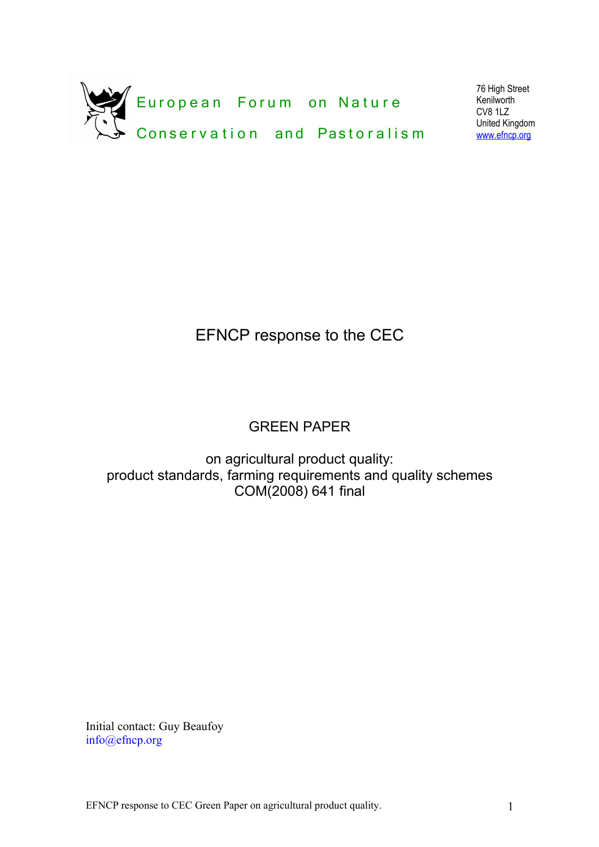

76 High Street Kenilworth CV8 1LZ United Kingdom [www.efncp.org](http://www.efncp.org/)

# EFNCP response to the CEC

## GREEN PAPER

on agricultural product quality: product standards, farming requirements and quality schemes COM(2008) 641 final

Initial contact: Guy Beaufoy info@efncp.org

EFNCP response to CEC Green Paper on agricultural product quality. 1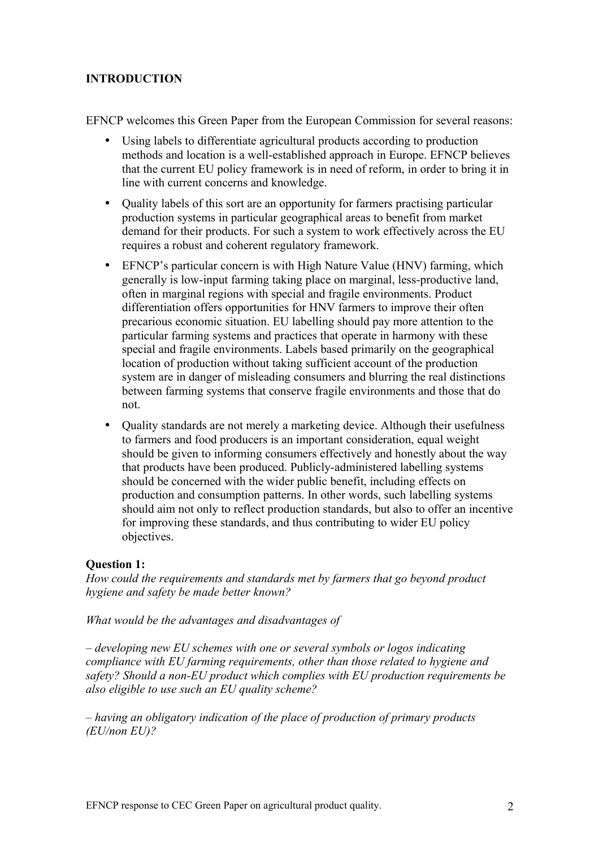## **INTRODUCTION**

EFNCP welcomes this Green Paper from the European Commission for several reasons:

- Using labels to differentiate agricultural products according to production methods and location is a well-established approach in Europe. EFNCP believes that the current EU policy framework is in need of reform, in order to bring it in line with current concerns and knowledge.
- Quality labels of this sort are an opportunity for farmers practising particular production systems in particular geographical areas to benefit from market demand for their products. For such a system to work effectively across the EU requires a robust and coherent regulatory framework.
- EFNCP's particular concern is with High Nature Value (HNV) farming, which generally is low-input farming taking place on marginal, less-productive land, often in marginal regions with special and fragile environments. Product differentiation offers opportunities for HNV farmers to improve their often precarious economic situation. EU labelling should pay more attention to the particular farming systems and practices that operate in harmony with these special and fragile environments. Labels based primarily on the geographical location of production without taking sufficient account of the production system are in danger of misleading consumers and blurring the real distinctions between farming systems that conserve fragile environments and those that do not.
- Ouality standards are not merely a marketing device. Although their usefulness to farmers and food producers is an important consideration, equal weight should be given to informing consumers effectively and honestly about the way that products have been produced. Publicly-administered labelling systems should be concerned with the wider public benefit, including effects on production and consumption patterns. In other words, such labelling systems should aim not only to reflect production standards, but also to offer an incentive for improving these standards, and thus contributing to wider EU policy objectives.

## **Question 1:**

*How could the requirements and standards met by farmers that go beyond product hygiene and safety be made better known?*

*What would be the advantages and disadvantages of*

*– developing new EU schemes with one or several symbols or logos indicating compliance with EU farming requirements, other than those related to hygiene and safety? Should a non-EU product which complies with EU production requirements be also eligible to use such an EU quality scheme?*

*– having an obligatory indication of the place of production of primary products (EU/non EU)?*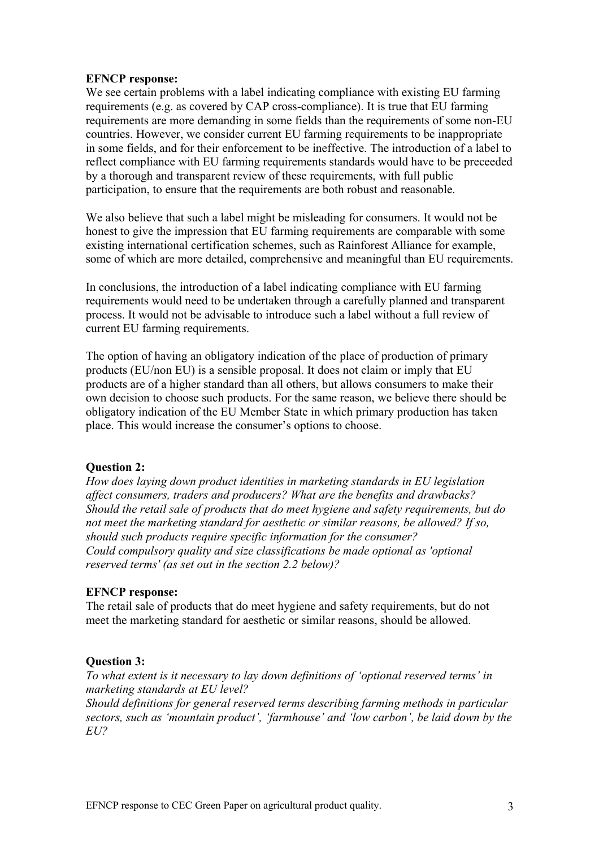#### **EFNCP response:**

We see certain problems with a label indicating compliance with existing EU farming requirements (e.g. as covered by CAP cross-compliance). It is true that EU farming requirements are more demanding in some fields than the requirements of some non-EU countries. However, we consider current EU farming requirements to be inappropriate in some fields, and for their enforcement to be ineffective. The introduction of a label to reflect compliance with EU farming requirements standards would have to be preceeded by a thorough and transparent review of these requirements, with full public participation, to ensure that the requirements are both robust and reasonable.

We also believe that such a label might be misleading for consumers. It would not be honest to give the impression that EU farming requirements are comparable with some existing international certification schemes, such as Rainforest Alliance for example, some of which are more detailed, comprehensive and meaningful than EU requirements.

In conclusions, the introduction of a label indicating compliance with EU farming requirements would need to be undertaken through a carefully planned and transparent process. It would not be advisable to introduce such a label without a full review of current EU farming requirements.

The option of having an obligatory indication of the place of production of primary products (EU/non EU) is a sensible proposal. It does not claim or imply that EU products are of a higher standard than all others, but allows consumers to make their own decision to choose such products. For the same reason, we believe there should be obligatory indication of the EU Member State in which primary production has taken place. This would increase the consumer's options to choose.

#### **Question 2:**

*How does laying down product identities in marketing standards in EU legislation affect consumers, traders and producers? What are the benefits and drawbacks? Should the retail sale of products that do meet hygiene and safety requirements, but do not meet the marketing standard for aesthetic or similar reasons, be allowed? If so, should such products require specific information for the consumer? Could compulsory quality and size classifications be made optional as 'optional reserved terms' (as set out in the section 2.2 below)?*

#### **EFNCP response:**

The retail sale of products that do meet hygiene and safety requirements, but do not meet the marketing standard for aesthetic or similar reasons, should be allowed.

#### **Question 3:**

*To what extent is it necessary to lay down definitions of 'optional reserved terms' in marketing standards at EU level? Should definitions for general reserved terms describing farming methods in particular sectors, such as 'mountain product', 'farmhouse' and 'low carbon', be laid down by the*

*EU?*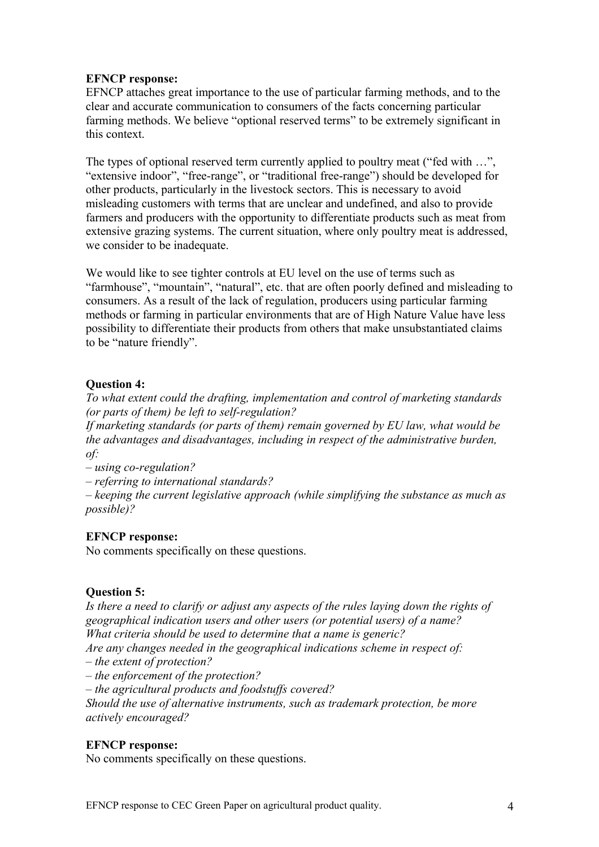## **EFNCP response:**

EFNCP attaches great importance to the use of particular farming methods, and to the clear and accurate communication to consumers of the facts concerning particular farming methods. We believe "optional reserved terms" to be extremely significant in this context.

The types of optional reserved term currently applied to poultry meat ("fed with ...", "extensive indoor", "free-range", or "traditional free-range") should be developed for other products, particularly in the livestock sectors. This is necessary to avoid misleading customers with terms that are unclear and undefined, and also to provide farmers and producers with the opportunity to differentiate products such as meat from extensive grazing systems. The current situation, where only poultry meat is addressed, we consider to be inadequate.

We would like to see tighter controls at EU level on the use of terms such as "farmhouse", "mountain", "natural", etc. that are often poorly defined and misleading to consumers. As a result of the lack of regulation, producers using particular farming methods or farming in particular environments that are of High Nature Value have less possibility to differentiate their products from others that make unsubstantiated claims to be "nature friendly".

## **Question 4:**

*To what extent could the drafting, implementation and control of marketing standards (or parts of them) be left to self-regulation?*

*If marketing standards (or parts of them) remain governed by EU law, what would be the advantages and disadvantages, including in respect of the administrative burden, of:*

*– using co-regulation?*

*– referring to international standards?*

*– keeping the current legislative approach (while simplifying the substance as much as possible)?*

## **EFNCP response:**

No comments specifically on these questions.

## **Question 5:**

*Is there a need to clarify or adjust any aspects of the rules laying down the rights of geographical indication users and other users (or potential users) of a name? What criteria should be used to determine that a name is generic?*

*Are any changes needed in the geographical indications scheme in respect of:*

*– the extent of protection?*

*– the enforcement of the protection?*

*– the agricultural products and foodstuffs covered?*

*Should the use of alternative instruments, such as trademark protection, be more actively encouraged?*

## **EFNCP response:**

No comments specifically on these questions.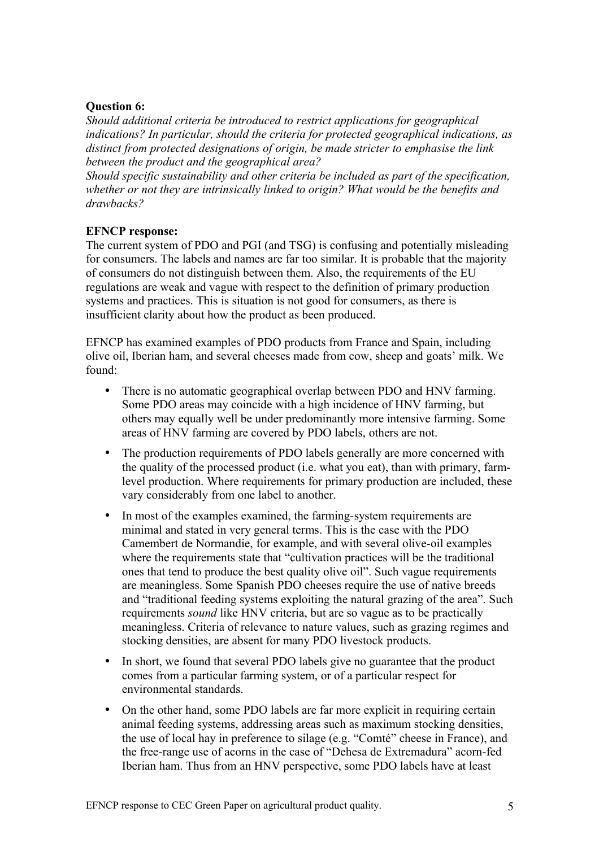## **Question 6:**

*Should additional criteria be introduced to restrict applications for geographical indications? In particular, should the criteria for protected geographical indications, as distinct from protected designations of origin, be made stricter to emphasise the link between the product and the geographical area?*

*Should specific sustainability and other criteria be included as part of the specification, whether or not they are intrinsically linked to origin? What would be the benefits and drawbacks?*

## **EFNCP response:**

The current system of PDO and PGI (and TSG) is confusing and potentially misleading for consumers. The labels and names are far too similar. It is probable that the majority of consumers do not distinguish between them. Also, the requirements of the EU regulations are weak and vague with respect to the definition of primary production systems and practices. This is situation is not good for consumers, as there is insufficient clarity about how the product as been produced.

EFNCP has examined examples of PDO products from France and Spain, including olive oil, Iberian ham, and several cheeses made from cow, sheep and goats' milk. We found:

- There is no automatic geographical overlap between PDO and HNV farming. Some PDO areas may coincide with a high incidence of HNV farming, but others may equally well be under predominantly more intensive farming. Some areas of HNV farming are covered by PDO labels, others are not.
- The production requirements of PDO labels generally are more concerned with the quality of the processed product (i.e. what you eat), than with primary, farmlevel production. Where requirements for primary production are included, these vary considerably from one label to another.
- In most of the examples examined, the farming-system requirements are minimal and stated in very general terms. This is the case with the PDO Camembert de Normandie, for example, and with several olive-oil examples where the requirements state that "cultivation practices will be the traditional ones that tend to produce the best quality olive oil". Such vague requirements are meaningless. Some Spanish PDO cheeses require the use of native breeds and "traditional feeding systems exploiting the natural grazing of the area". Such requirements *sound* like HNV criteria, but are so vague as to be practically meaningless. Criteria of relevance to nature values, such as grazing regimes and stocking densities, are absent for many PDO livestock products.
- In short, we found that several PDO labels give no guarantee that the product comes from a particular farming system, or of a particular respect for environmental standards.
- On the other hand, some PDO labels are far more explicit in requiring certain animal feeding systems, addressing areas such as maximum stocking densities, the use of local hay in preference to silage (e.g. "Comté" cheese in France), and the free-range use of acorns in the case of "Dehesa de Extremadura" acorn-fed Iberian ham. Thus from an HNV perspective, some PDO labels have at least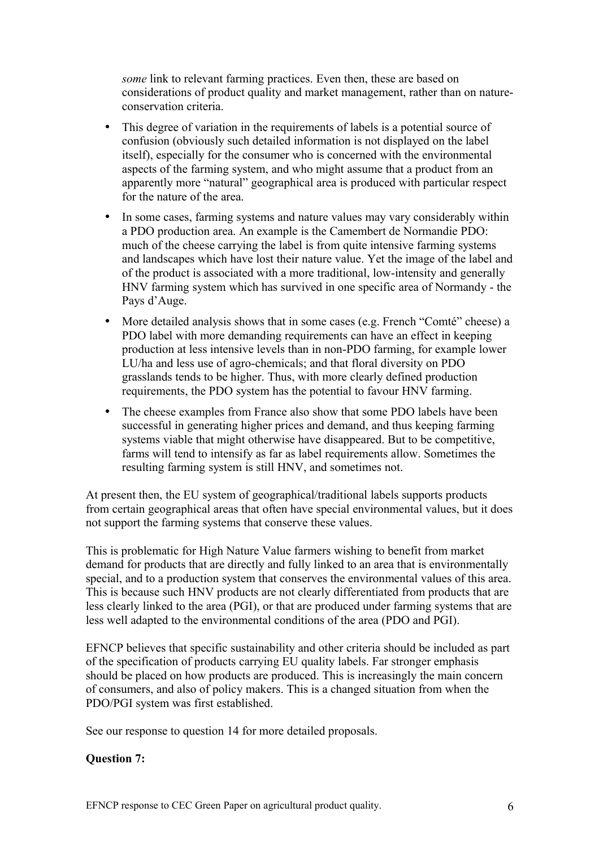*some* link to relevant farming practices. Even then, these are based on considerations of product quality and market management, rather than on natureconservation criteria.

- This degree of variation in the requirements of labels is a potential source of confusion (obviously such detailed information is not displayed on the label itself), especially for the consumer who is concerned with the environmental aspects of the farming system, and who might assume that a product from an apparently more "natural" geographical area is produced with particular respect for the nature of the area.
- In some cases, farming systems and nature values may vary considerably within a PDO production area. An example is the Camembert de Normandie PDO: much of the cheese carrying the label is from quite intensive farming systems and landscapes which have lost their nature value. Yet the image of the label and of the product is associated with a more traditional, low-intensity and generally HNV farming system which has survived in one specific area of Normandy - the Pays d'Auge.
- More detailed analysis shows that in some cases (e.g. French "Comté" cheese) a PDO label with more demanding requirements can have an effect in keeping production at less intensive levels than in non-PDO farming, for example lower LU/ha and less use of agro-chemicals; and that floral diversity on PDO grasslands tends to be higher. Thus, with more clearly defined production requirements, the PDO system has the potential to favour HNV farming.
- The cheese examples from France also show that some PDO labels have been successful in generating higher prices and demand, and thus keeping farming systems viable that might otherwise have disappeared. But to be competitive, farms will tend to intensify as far as label requirements allow. Sometimes the resulting farming system is still HNV, and sometimes not.

At present then, the EU system of geographical/traditional labels supports products from certain geographical areas that often have special environmental values, but it does not support the farming systems that conserve these values.

This is problematic for High Nature Value farmers wishing to benefit from market demand for products that are directly and fully linked to an area that is environmentally special, and to a production system that conserves the environmental values of this area. This is because such HNV products are not clearly differentiated from products that are less clearly linked to the area (PGI), or that are produced under farming systems that are less well adapted to the environmental conditions of the area (PDO and PGI).

EFNCP believes that specific sustainability and other criteria should be included as part of the specification of products carrying EU quality labels. Far stronger emphasis should be placed on how products are produced. This is increasingly the main concern of consumers, and also of policy makers. This is a changed situation from when the PDO/PGI system was first established.

See our response to question 14 for more detailed proposals.

## **Question 7:**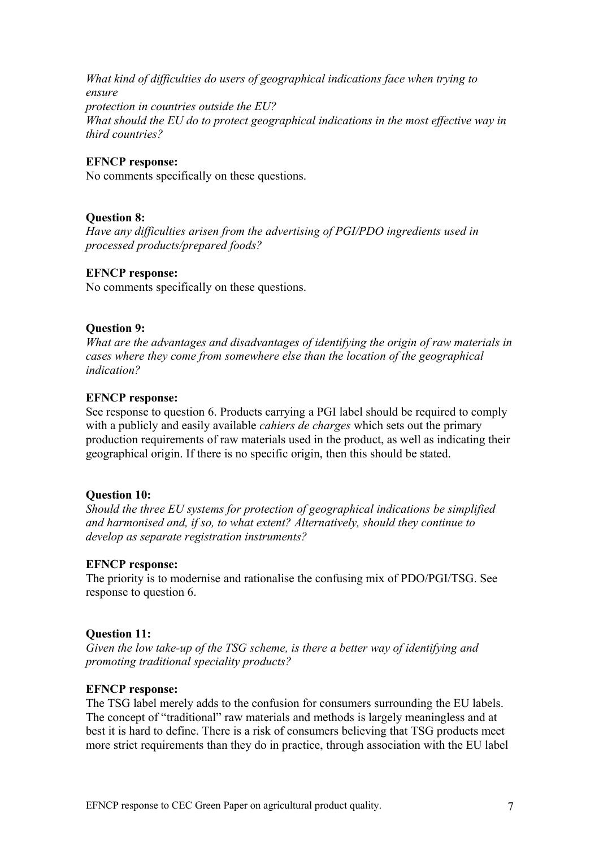*What kind of difficulties do users of geographical indications face when trying to ensure protection in countries outside the EU? What should the EU do to protect geographical indications in the most effective way in third countries?*

#### **EFNCP response:**

No comments specifically on these questions.

### **Question 8:**

*Have any difficulties arisen from the advertising of PGI/PDO ingredients used in processed products/prepared foods?*

#### **EFNCP response:**

No comments specifically on these questions.

### **Question 9:**

*What are the advantages and disadvantages of identifying the origin of raw materials in cases where they come from somewhere else than the location of the geographical indication?*

### **EFNCP response:**

See response to question 6. Products carrying a PGI label should be required to comply with a publicly and easily available *cahiers de charges* which sets out the primary production requirements of raw materials used in the product, as well as indicating their geographical origin. If there is no specific origin, then this should be stated.

#### **Question 10:**

*Should the three EU systems for protection of geographical indications be simplified and harmonised and, if so, to what extent? Alternatively, should they continue to develop as separate registration instruments?*

#### **EFNCP response:**

The priority is to modernise and rationalise the confusing mix of PDO/PGI/TSG. See response to question 6.

## **Question 11:**

*Given the low take-up of the TSG scheme, is there a better way of identifying and promoting traditional speciality products?*

#### **EFNCP response:**

The TSG label merely adds to the confusion for consumers surrounding the EU labels. The concept of "traditional" raw materials and methods is largely meaningless and at best it is hard to define. There is a risk of consumers believing that TSG products meet more strict requirements than they do in practice, through association with the EU label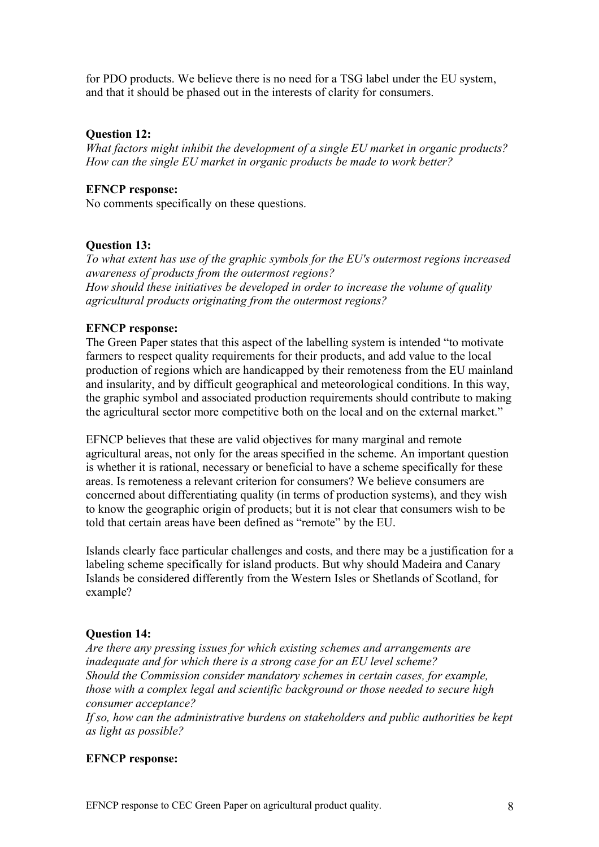for PDO products. We believe there is no need for a TSG label under the EU system, and that it should be phased out in the interests of clarity for consumers.

### **Question 12:**

*What factors might inhibit the development of a single EU market in organic products? How can the single EU market in organic products be made to work better?*

## **EFNCP response:**

No comments specifically on these questions.

## **Question 13:**

*To what extent has use of the graphic symbols for the EU's outermost regions increased awareness of products from the outermost regions? How should these initiatives be developed in order to increase the volume of quality agricultural products originating from the outermost regions?*

### **EFNCP response:**

The Green Paper states that this aspect of the labelling system is intended "to motivate farmers to respect quality requirements for their products, and add value to the local production of regions which are handicapped by their remoteness from the EU mainland and insularity, and by difficult geographical and meteorological conditions. In this way, the graphic symbol and associated production requirements should contribute to making the agricultural sector more competitive both on the local and on the external market."

EFNCP believes that these are valid objectives for many marginal and remote agricultural areas, not only for the areas specified in the scheme. An important question is whether it is rational, necessary or beneficial to have a scheme specifically for these areas. Is remoteness a relevant criterion for consumers? We believe consumers are concerned about differentiating quality (in terms of production systems), and they wish to know the geographic origin of products; but it is not clear that consumers wish to be told that certain areas have been defined as "remote" by the EU.

Islands clearly face particular challenges and costs, and there may be a justification for a labeling scheme specifically for island products. But why should Madeira and Canary Islands be considered differently from the Western Isles or Shetlands of Scotland, for example?

#### **Question 14:**

*Are there any pressing issues for which existing schemes and arrangements are inadequate and for which there is a strong case for an EU level scheme? Should the Commission consider mandatory schemes in certain cases, for example, those with a complex legal and scientific background or those needed to secure high consumer acceptance?*

*If so, how can the administrative burdens on stakeholders and public authorities be kept as light as possible?*

#### **EFNCP response:**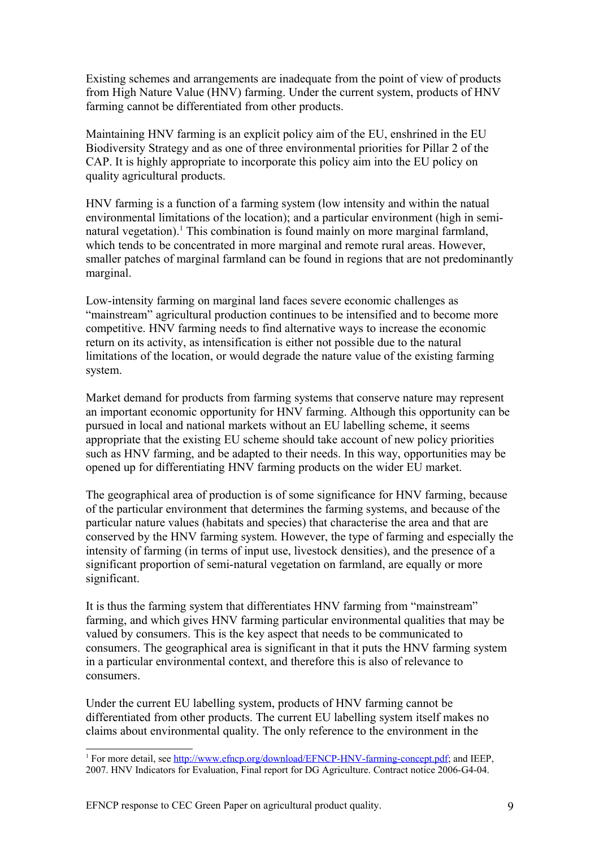Existing schemes and arrangements are inadequate from the point of view of products from High Nature Value (HNV) farming. Under the current system, products of HNV farming cannot be differentiated from other products.

Maintaining HNV farming is an explicit policy aim of the EU, enshrined in the EU Biodiversity Strategy and as one of three environmental priorities for Pillar 2 of the CAP. It is highly appropriate to incorporate this policy aim into the EU policy on quality agricultural products.

HNV farming is a function of a farming system (low intensity and within the natual environmental limitations of the location); and a particular environment (high in semi-natural vegetation).<sup>[1](#page-8-0)</sup> This combination is found mainly on more marginal farmland, which tends to be concentrated in more marginal and remote rural areas. However, smaller patches of marginal farmland can be found in regions that are not predominantly marginal.

Low-intensity farming on marginal land faces severe economic challenges as "mainstream" agricultural production continues to be intensified and to become more competitive. HNV farming needs to find alternative ways to increase the economic return on its activity, as intensification is either not possible due to the natural limitations of the location, or would degrade the nature value of the existing farming system.

Market demand for products from farming systems that conserve nature may represent an important economic opportunity for HNV farming. Although this opportunity can be pursued in local and national markets without an EU labelling scheme, it seems appropriate that the existing EU scheme should take account of new policy priorities such as HNV farming, and be adapted to their needs. In this way, opportunities may be opened up for differentiating HNV farming products on the wider EU market.

The geographical area of production is of some significance for HNV farming, because of the particular environment that determines the farming systems, and because of the particular nature values (habitats and species) that characterise the area and that are conserved by the HNV farming system. However, the type of farming and especially the intensity of farming (in terms of input use, livestock densities), and the presence of a significant proportion of semi-natural vegetation on farmland, are equally or more significant.

It is thus the farming system that differentiates HNV farming from "mainstream" farming, and which gives HNV farming particular environmental qualities that may be valued by consumers. This is the key aspect that needs to be communicated to consumers. The geographical area is significant in that it puts the HNV farming system in a particular environmental context, and therefore this is also of relevance to consumers.

Under the current EU labelling system, products of HNV farming cannot be differentiated from other products. The current EU labelling system itself makes no claims about environmental quality. The only reference to the environment in the

<span id="page-8-0"></span><sup>&</sup>lt;sup>1</sup> For more detail, see [http://www.efncp.org/download/EFNCP-HNV-farming-concept.pdf;](http://www.efncp.org/download/EFNCP-HNV-farming-concept.pdf) and IEEP, 2007. HNV Indicators for Evaluation, Final report for DG Agriculture. Contract notice 2006-G4-04.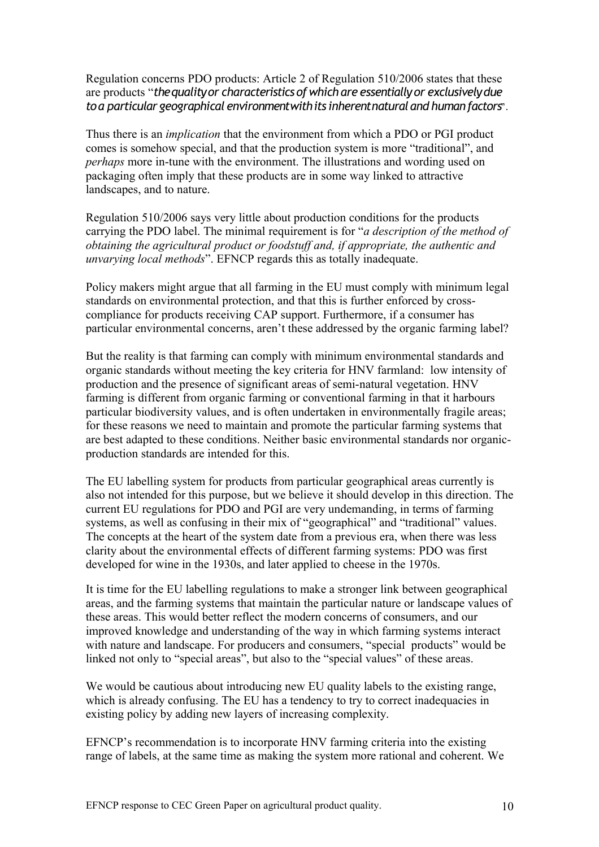Regulation concerns PDO products: Article 2 of Regulation 510/2006 states that these are products "*the quality or characteristics of which are essentially or exclusively due to a particular geographical environment with its inherent natural and human factors*".

Thus there is an *implication* that the environment from which a PDO or PGI product comes is somehow special, and that the production system is more "traditional", and *perhaps* more in-tune with the environment. The illustrations and wording used on packaging often imply that these products are in some way linked to attractive landscapes, and to nature.

Regulation 510/2006 says very little about production conditions for the products carrying the PDO label. The minimal requirement is for "*a description of the method of obtaining the agricultural product or foodstuff and, if appropriate, the authentic and unvarying local methods*". EFNCP regards this as totally inadequate.

Policy makers might argue that all farming in the EU must comply with minimum legal standards on environmental protection, and that this is further enforced by crosscompliance for products receiving CAP support. Furthermore, if a consumer has particular environmental concerns, aren't these addressed by the organic farming label?

But the reality is that farming can comply with minimum environmental standards and organic standards without meeting the key criteria for HNV farmland: low intensity of production and the presence of significant areas of semi-natural vegetation. HNV farming is different from organic farming or conventional farming in that it harbours particular biodiversity values, and is often undertaken in environmentally fragile areas; for these reasons we need to maintain and promote the particular farming systems that are best adapted to these conditions. Neither basic environmental standards nor organicproduction standards are intended for this.

The EU labelling system for products from particular geographical areas currently is also not intended for this purpose, but we believe it should develop in this direction. The current EU regulations for PDO and PGI are very undemanding, in terms of farming systems, as well as confusing in their mix of "geographical" and "traditional" values. The concepts at the heart of the system date from a previous era, when there was less clarity about the environmental effects of different farming systems: PDO was first developed for wine in the 1930s, and later applied to cheese in the 1970s.

It is time for the EU labelling regulations to make a stronger link between geographical areas, and the farming systems that maintain the particular nature or landscape values of these areas. This would better reflect the modern concerns of consumers, and our improved knowledge and understanding of the way in which farming systems interact with nature and landscape. For producers and consumers, "special products" would be linked not only to "special areas", but also to the "special values" of these areas.

We would be cautious about introducing new EU quality labels to the existing range, which is already confusing. The EU has a tendency to try to correct inadequacies in existing policy by adding new layers of increasing complexity.

EFNCP's recommendation is to incorporate HNV farming criteria into the existing range of labels, at the same time as making the system more rational and coherent. We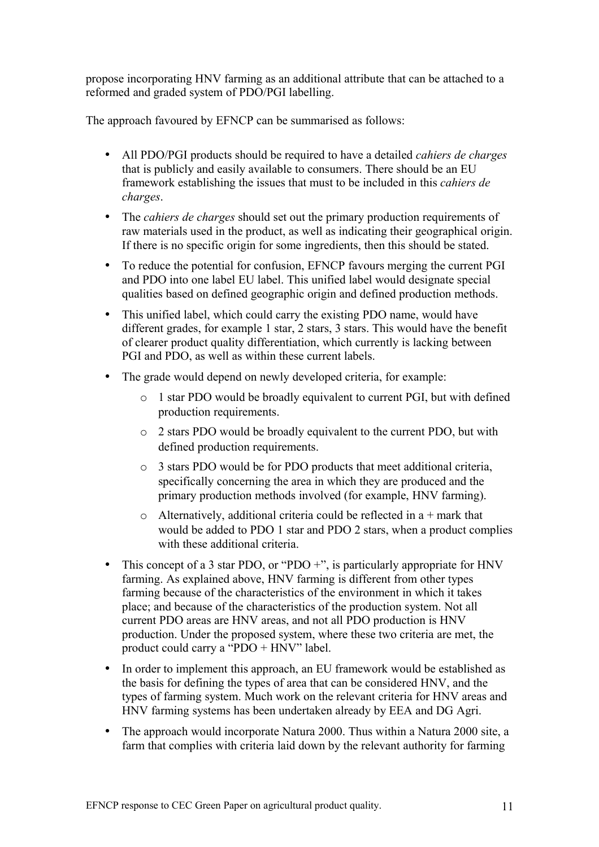propose incorporating HNV farming as an additional attribute that can be attached to a reformed and graded system of PDO/PGI labelling.

The approach favoured by EFNCP can be summarised as follows:

- All PDO/PGI products should be required to have a detailed *cahiers de charges* that is publicly and easily available to consumers. There should be an EU framework establishing the issues that must to be included in this *cahiers de charges*.
- The *cahiers de charges* should set out the primary production requirements of raw materials used in the product, as well as indicating their geographical origin. If there is no specific origin for some ingredients, then this should be stated.
- To reduce the potential for confusion, EFNCP favours merging the current PGI and PDO into one label EU label. This unified label would designate special qualities based on defined geographic origin and defined production methods.
- This unified label, which could carry the existing PDO name, would have different grades, for example 1 star, 2 stars, 3 stars. This would have the benefit of clearer product quality differentiation, which currently is lacking between PGI and PDO, as well as within these current labels.
- The grade would depend on newly developed criteria, for example:
	- o 1 star PDO would be broadly equivalent to current PGI, but with defined production requirements.
	- o 2 stars PDO would be broadly equivalent to the current PDO, but with defined production requirements.
	- o 3 stars PDO would be for PDO products that meet additional criteria, specifically concerning the area in which they are produced and the primary production methods involved (for example, HNV farming).
	- $\circ$  Alternatively, additional criteria could be reflected in a + mark that would be added to PDO 1 star and PDO 2 stars, when a product complies with these additional criteria.
- This concept of a 3 star PDO, or "PDO  $+$ ", is particularly appropriate for HNV farming. As explained above, HNV farming is different from other types farming because of the characteristics of the environment in which it takes place; and because of the characteristics of the production system. Not all current PDO areas are HNV areas, and not all PDO production is HNV production. Under the proposed system, where these two criteria are met, the product could carry a "PDO + HNV" label.
- In order to implement this approach, an EU framework would be established as the basis for defining the types of area that can be considered HNV, and the types of farming system. Much work on the relevant criteria for HNV areas and HNV farming systems has been undertaken already by EEA and DG Agri.
- The approach would incorporate Natura 2000. Thus within a Natura 2000 site, a farm that complies with criteria laid down by the relevant authority for farming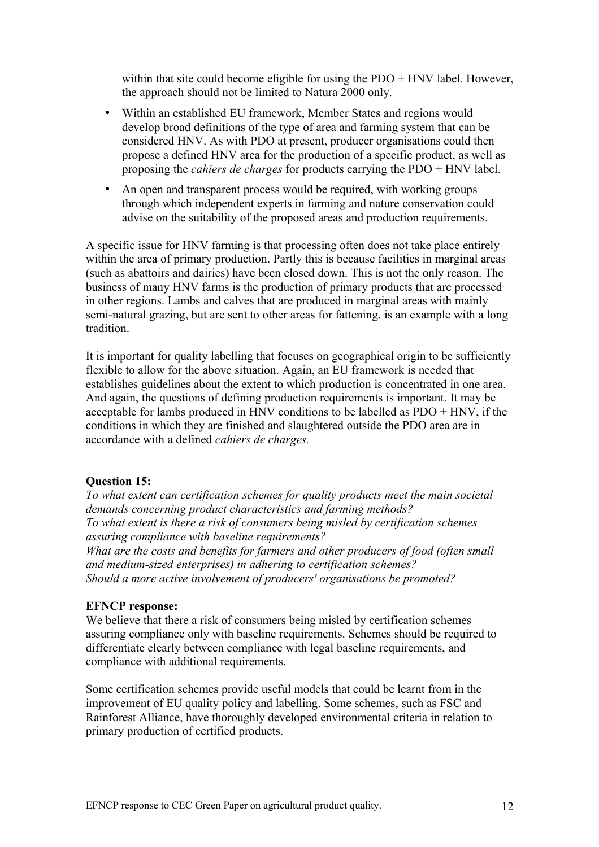within that site could become eligible for using the PDO + HNV label. However, the approach should not be limited to Natura 2000 only.

- Within an established EU framework, Member States and regions would develop broad definitions of the type of area and farming system that can be considered HNV. As with PDO at present, producer organisations could then propose a defined HNV area for the production of a specific product, as well as proposing the *cahiers de charges* for products carrying the PDO + HNV label.
- An open and transparent process would be required, with working groups through which independent experts in farming and nature conservation could advise on the suitability of the proposed areas and production requirements.

A specific issue for HNV farming is that processing often does not take place entirely within the area of primary production. Partly this is because facilities in marginal areas (such as abattoirs and dairies) have been closed down. This is not the only reason. The business of many HNV farms is the production of primary products that are processed in other regions. Lambs and calves that are produced in marginal areas with mainly semi-natural grazing, but are sent to other areas for fattening, is an example with a long tradition.

It is important for quality labelling that focuses on geographical origin to be sufficiently flexible to allow for the above situation. Again, an EU framework is needed that establishes guidelines about the extent to which production is concentrated in one area. And again, the questions of defining production requirements is important. It may be acceptable for lambs produced in HNV conditions to be labelled as PDO + HNV, if the conditions in which they are finished and slaughtered outside the PDO area are in accordance with a defined *cahiers de charges.*

#### **Question 15:**

*To what extent can certification schemes for quality products meet the main societal demands concerning product characteristics and farming methods? To what extent is there a risk of consumers being misled by certification schemes assuring compliance with baseline requirements?*

*What are the costs and benefits for farmers and other producers of food (often small and medium-sized enterprises) in adhering to certification schemes? Should a more active involvement of producers' organisations be promoted?*

#### **EFNCP response:**

We believe that there a risk of consumers being misled by certification schemes assuring compliance only with baseline requirements. Schemes should be required to differentiate clearly between compliance with legal baseline requirements, and compliance with additional requirements.

Some certification schemes provide useful models that could be learnt from in the improvement of EU quality policy and labelling. Some schemes, such as FSC and Rainforest Alliance, have thoroughly developed environmental criteria in relation to primary production of certified products.